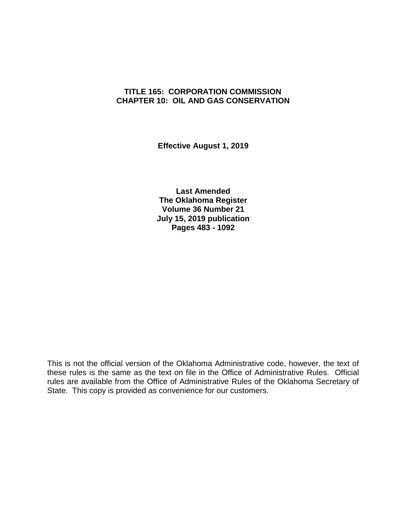#### **TITLE 165: CORPORATION COMMISSION CHAPTER 10: OIL AND GAS CONSERVATION**

**Effective August 1, 2019**

**Last Amended The Oklahoma Register Volume 36 Number 21 July 15, 2019 publication Pages 483 - 1092**

This is not the official version of the Oklahoma Administrative code, however, the text of these rules is the same as the text on file in the Office of Administrative Rules. Official rules are available from the Office of Administrative Rules of the Oklahoma Secretary of State. This copy is provided as convenience for our customers.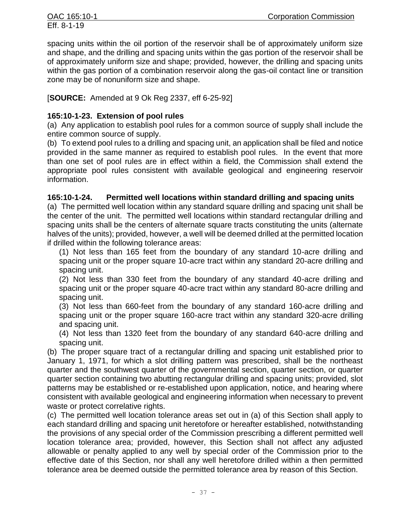spacing units within the oil portion of the reservoir shall be of approximately uniform size and shape, and the drilling and spacing units within the gas portion of the reservoir shall be of approximately uniform size and shape; provided, however, the drilling and spacing units within the gas portion of a combination reservoir along the gas-oil contact line or transition zone may be of nonuniform size and shape.

## [**SOURCE:** Amended at 9 Ok Reg 2337, eff 6-25-92]

#### **165:10-1-23. Extension of pool rules**

(a) Any application to establish pool rules for a common source of supply shall include the entire common source of supply.

(b) To extend pool rules to a drilling and spacing unit, an application shall be filed and notice provided in the same manner as required to establish pool rules. In the event that more than one set of pool rules are in effect within a field, the Commission shall extend the appropriate pool rules consistent with available geological and engineering reservoir information.

### **165:10-1-24. Permitted well locations within standard drilling and spacing units**

(a) The permitted well location within any standard square drilling and spacing unit shall be the center of the unit. The permitted well locations within standard rectangular drilling and spacing units shall be the centers of alternate square tracts constituting the units (alternate halves of the units); provided, however, a well will be deemed drilled at the permitted location if drilled within the following tolerance areas:

(1) Not less than 165 feet from the boundary of any standard 10-acre drilling and spacing unit or the proper square 10-acre tract within any standard 20-acre drilling and spacing unit.

(2) Not less than 330 feet from the boundary of any standard 40-acre drilling and spacing unit or the proper square 40-acre tract within any standard 80-acre drilling and spacing unit.

(3) Not less than 660-feet from the boundary of any standard 160-acre drilling and spacing unit or the proper square 160-acre tract within any standard 320-acre drilling and spacing unit.

(4) Not less than 1320 feet from the boundary of any standard 640-acre drilling and spacing unit.

(b) The proper square tract of a rectangular drilling and spacing unit established prior to January 1, 1971, for which a slot drilling pattern was prescribed, shall be the northeast quarter and the southwest quarter of the governmental section, quarter section, or quarter quarter section containing two abutting rectangular drilling and spacing units; provided, slot patterns may be established or re-established upon application, notice, and hearing where consistent with available geological and engineering information when necessary to prevent waste or protect correlative rights.

(c) The permitted well location tolerance areas set out in (a) of this Section shall apply to each standard drilling and spacing unit heretofore or hereafter established, notwithstanding the provisions of any special order of the Commission prescribing a different permitted well location tolerance area; provided, however, this Section shall not affect any adjusted allowable or penalty applied to any well by special order of the Commission prior to the effective date of this Section, nor shall any well heretofore drilled within a then permitted tolerance area be deemed outside the permitted tolerance area by reason of this Section.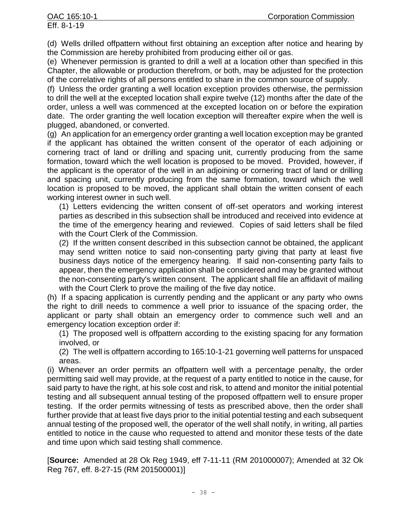(d) Wells drilled offpattern without first obtaining an exception after notice and hearing by the Commission are hereby prohibited from producing either oil or gas.

(e) Whenever permission is granted to drill a well at a location other than specified in this Chapter, the allowable or production therefrom, or both, may be adjusted for the protection of the correlative rights of all persons entitled to share in the common source of supply.

(f) Unless the order granting a well location exception provides otherwise, the permission to drill the well at the excepted location shall expire twelve (12) months after the date of the order, unless a well was commenced at the excepted location on or before the expiration date. The order granting the well location exception will thereafter expire when the well is plugged, abandoned, or converted.

(g) An application for an emergency order granting a well location exception may be granted if the applicant has obtained the written consent of the operator of each adjoining or cornering tract of land or drilling and spacing unit, currently producing from the same formation, toward which the well location is proposed to be moved. Provided, however, if the applicant is the operator of the well in an adjoining or cornering tract of land or drilling and spacing unit, currently producing from the same formation, toward which the well location is proposed to be moved, the applicant shall obtain the written consent of each working interest owner in such well.

(1) Letters evidencing the written consent of off-set operators and working interest parties as described in this subsection shall be introduced and received into evidence at the time of the emergency hearing and reviewed. Copies of said letters shall be filed with the Court Clerk of the Commission.

(2) If the written consent described in this subsection cannot be obtained, the applicant may send written notice to said non-consenting party giving that party at least five business days notice of the emergency hearing. If said non-consenting party fails to appear, then the emergency application shall be considered and may be granted without the non-consenting party's written consent. The applicant shall file an affidavit of mailing with the Court Clerk to prove the mailing of the five day notice.

(h) If a spacing application is currently pending and the applicant or any party who owns the right to drill needs to commence a well prior to issuance of the spacing order, the applicant or party shall obtain an emergency order to commence such well and an emergency location exception order if:

(1) The proposed well is offpattern according to the existing spacing for any formation involved, or

(2) The well is offpattern according to 165:10-1-21 governing well patterns for unspaced areas.

(i) Whenever an order permits an offpattern well with a percentage penalty, the order permitting said well may provide, at the request of a party entitled to notice in the cause, for said party to have the right, at his sole cost and risk, to attend and monitor the initial potential testing and all subsequent annual testing of the proposed offpattern well to ensure proper testing. If the order permits witnessing of tests as prescribed above, then the order shall further provide that at least five days prior to the initial potential testing and each subsequent annual testing of the proposed well, the operator of the well shall notify, in writing, all parties entitled to notice in the cause who requested to attend and monitor these tests of the date and time upon which said testing shall commence.

[**Source:** Amended at 28 Ok Reg 1949, eff 7-11-11 (RM 201000007); Amended at 32 Ok Reg 767, eff. 8-27-15 (RM 201500001)]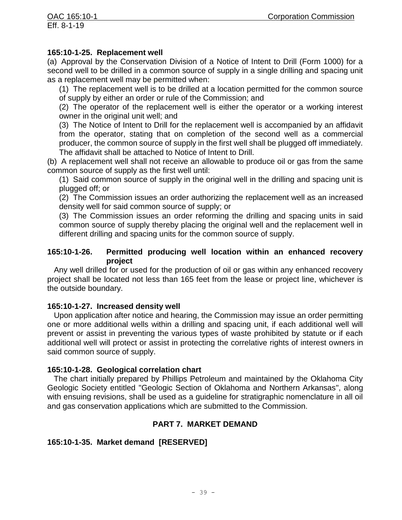### **165:10-1-25. Replacement well**

(a) Approval by the Conservation Division of a Notice of Intent to Drill (Form 1000) for a second well to be drilled in a common source of supply in a single drilling and spacing unit as a replacement well may be permitted when:

(1) The replacement well is to be drilled at a location permitted for the common source of supply by either an order or rule of the Commission; and

(2) The operator of the replacement well is either the operator or a working interest owner in the original unit well; and

(3) The Notice of Intent to Drill for the replacement well is accompanied by an affidavit from the operator, stating that on completion of the second well as a commercial producer, the common source of supply in the first well shall be plugged off immediately. The affidavit shall be attached to Notice of Intent to Drill.

(b) A replacement well shall not receive an allowable to produce oil or gas from the same common source of supply as the first well until:

(1) Said common source of supply in the original well in the drilling and spacing unit is plugged off; or

(2) The Commission issues an order authorizing the replacement well as an increased density well for said common source of supply; or

(3) The Commission issues an order reforming the drilling and spacing units in said common source of supply thereby placing the original well and the replacement well in different drilling and spacing units for the common source of supply.

#### **165:10-1-26. Permitted producing well location within an enhanced recovery project**

 Any well drilled for or used for the production of oil or gas within any enhanced recovery project shall be located not less than 165 feet from the lease or project line, whichever is the outside boundary.

#### **165:10-1-27. Increased density well**

 Upon application after notice and hearing, the Commission may issue an order permitting one or more additional wells within a drilling and spacing unit, if each additional well will prevent or assist in preventing the various types of waste prohibited by statute or if each additional well will protect or assist in protecting the correlative rights of interest owners in said common source of supply.

#### **165:10-1-28. Geological correlation chart**

 The chart initially prepared by Phillips Petroleum and maintained by the Oklahoma City Geologic Society entitled "Geologic Section of Oklahoma and Northern Arkansas", along with ensuing revisions, shall be used as a guideline for stratigraphic nomenclature in all oil and gas conservation applications which are submitted to the Commission.

## **PART 7. MARKET DEMAND**

## **165:10-1-35. Market demand [RESERVED]**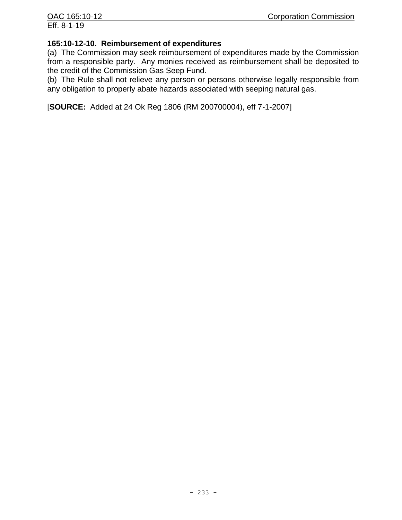## **165:10-12-10. Reimbursement of expenditures**

(a) The Commission may seek reimbursement of expenditures made by the Commission from a responsible party. Any monies received as reimbursement shall be deposited to the credit of the Commission Gas Seep Fund.

(b) The Rule shall not relieve any person or persons otherwise legally responsible from any obligation to properly abate hazards associated with seeping natural gas.

[**SOURCE:** Added at 24 Ok Reg 1806 (RM 200700004), eff 7-1-2007]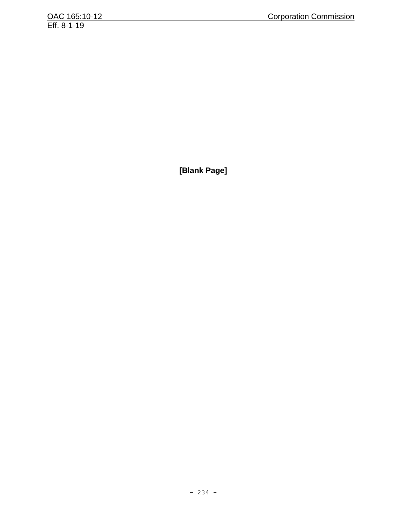**[Blank Page]**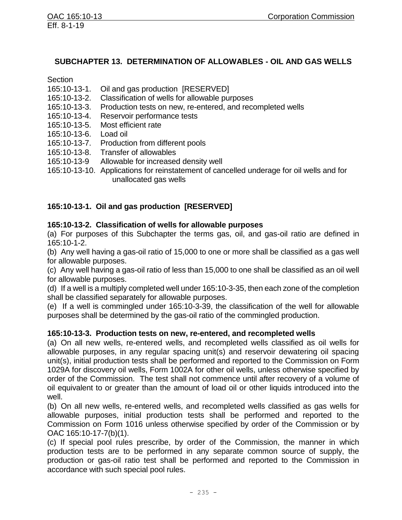## **SUBCHAPTER 13. DETERMINATION OF ALLOWABLES - OIL AND GAS WELLS**

#### Section

- 165:10-13-1. Oil and gas production [RESERVED]
- 165:10-13-2. Classification of wells for allowable purposes
- 165:10-13-3. Production tests on new, re-entered, and recompleted wells
- 165:10-13-4. Reservoir performance tests
- 165:10-13-5. Most efficient rate
- 165:10-13-6. Load oil
- 165:10-13-7. Production from different pools
- 165:10-13-8. Transfer of allowables
- 165:10-13-9 Allowable for increased density well
- 165:10-13-10. Applications for reinstatement of cancelled underage for oil wells and for unallocated gas wells

### **165:10-13-1. Oil and gas production [RESERVED]**

#### **165:10-13-2. Classification of wells for allowable purposes**

(a) For purposes of this Subchapter the terms gas, oil, and gas-oil ratio are defined in 165:10-1-2.

(b) Any well having a gas-oil ratio of 15,000 to one or more shall be classified as a gas well for allowable purposes.

(c) Any well having a gas-oil ratio of less than 15,000 to one shall be classified as an oil well for allowable purposes.

(d) If a well is a multiply completed well under 165:10-3-35, then each zone of the completion shall be classified separately for allowable purposes.

(e) If a well is commingled under 165:10-3-39, the classification of the well for allowable purposes shall be determined by the gas-oil ratio of the commingled production.

#### **165:10-13-3. Production tests on new, re-entered, and recompleted wells**

(a) On all new wells, re-entered wells, and recompleted wells classified as oil wells for allowable purposes, in any regular spacing unit(s) and reservoir dewatering oil spacing unit(s), initial production tests shall be performed and reported to the Commission on Form 1029A for discovery oil wells, Form 1002A for other oil wells, unless otherwise specified by order of the Commission. The test shall not commence until after recovery of a volume of oil equivalent to or greater than the amount of load oil or other liquids introduced into the well.

(b) On all new wells, re-entered wells, and recompleted wells classified as gas wells for allowable purposes, initial production tests shall be performed and reported to the Commission on Form 1016 unless otherwise specified by order of the Commission or by OAC 165:10-17-7(b)(1).

(c) If special pool rules prescribe, by order of the Commission, the manner in which production tests are to be performed in any separate common source of supply, the production or gas-oil ratio test shall be performed and reported to the Commission in accordance with such special pool rules.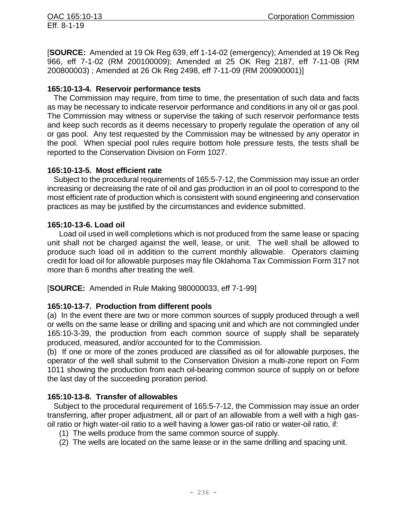[**SOURCE:** Amended at 19 Ok Reg 639, eff 1-14-02 (emergency); Amended at 19 Ok Reg 966, eff 7-1-02 (RM 200100009); Amended at 25 OK Reg 2187, eff 7-11-08 (RM 200800003) ; Amended at 26 Ok Reg 2498, eff 7-11-09 (RM 200900001)]

## **165:10-13-4. Reservoir performance tests**

 The Commission may require, from time to time, the presentation of such data and facts as may be necessary to indicate reservoir performance and conditions in any oil or gas pool. The Commission may witness or supervise the taking of such reservoir performance tests and keep such records as it deems necessary to properly regulate the operation of any oil or gas pool. Any test requested by the Commission may be witnessed by any operator in the pool. When special pool rules require bottom hole pressure tests, the tests shall be reported to the Conservation Division on Form 1027.

## **165:10-13-5. Most efficient rate**

 Subject to the procedural requirements of 165:5-7-12, the Commission may issue an order increasing or decreasing the rate of oil and gas production in an oil pool to correspond to the most efficient rate of production which is consistent with sound engineering and conservation practices as may be justified by the circumstances and evidence submitted.

## **165:10-13-6. Load oil**

Load oil used in well completions which is not produced from the same lease or spacing unit shall not be charged against the well, lease, or unit. The well shall be allowed to produce such load oil in addition to the current monthly allowable. Operators claiming credit for load oil for allowable purposes may file Oklahoma Tax Commission Form 317 not more than 6 months after treating the well.

[**SOURCE:** Amended in Rule Making 980000033, eff 7-1-99]

## **165:10-13-7. Production from different pools**

(a) In the event there are two or more common sources of supply produced through a well or wells on the same lease or drilling and spacing unit and which are not commingled under 165:10-3-39, the production from each common source of supply shall be separately produced, measured, and/or accounted for to the Commission.

(b) If one or more of the zones produced are classified as oil for allowable purposes, the operator of the well shall submit to the Conservation Division a multi-zone report on Form 1011 showing the production from each oil-bearing common source of supply on or before the last day of the succeeding proration period.

## **165:10-13-8. Transfer of allowables**

 Subject to the procedural requirement of 165:5-7-12, the Commission may issue an order transferring, after proper adjustment, all or part of an allowable from a well with a high gasoil ratio or high water-oil ratio to a well having a lower gas-oil ratio or water-oil ratio, if:

- (1) The wells produce from the same common source of supply.
- (2) The wells are located on the same lease or in the same drilling and spacing unit.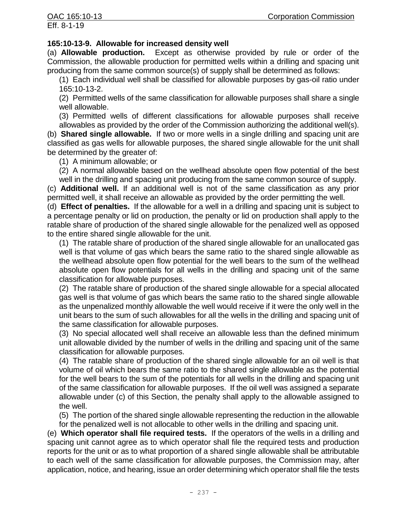#### **165:10-13-9. Allowable for increased density well**

(a) **Allowable production.** Except as otherwise provided by rule or order of the Commission, the allowable production for permitted wells within a drilling and spacing unit producing from the same common source(s) of supply shall be determined as follows:

(1) Each individual well shall be classified for allowable purposes by gas-oil ratio under 165:10-13-2.

(2) Permitted wells of the same classification for allowable purposes shall share a single well allowable.

(3) Permitted wells of different classifications for allowable purposes shall receive allowables as provided by the order of the Commission authorizing the additional well(s).

(b) **Shared single allowable.** If two or more wells in a single drilling and spacing unit are classified as gas wells for allowable purposes, the shared single allowable for the unit shall be determined by the greater of:

(1) A minimum allowable; or

(2) A normal allowable based on the wellhead absolute open flow potential of the best well in the drilling and spacing unit producing from the same common source of supply.

(c) **Additional well.** If an additional well is not of the same classification as any prior permitted well, it shall receive an allowable as provided by the order permitting the well.

(d) **Effect of penalties.** If the allowable for a well in a drilling and spacing unit is subject to a percentage penalty or lid on production, the penalty or lid on production shall apply to the ratable share of production of the shared single allowable for the penalized well as opposed to the entire shared single allowable for the unit.

(1) The ratable share of production of the shared single allowable for an unallocated gas well is that volume of gas which bears the same ratio to the shared single allowable as the wellhead absolute open flow potential for the well bears to the sum of the wellhead absolute open flow potentials for all wells in the drilling and spacing unit of the same classification for allowable purposes.

(2) The ratable share of production of the shared single allowable for a special allocated gas well is that volume of gas which bears the same ratio to the shared single allowable as the unpenalized monthly allowable the well would receive if it were the only well in the unit bears to the sum of such allowables for all the wells in the drilling and spacing unit of the same classification for allowable purposes.

(3) No special allocated well shall receive an allowable less than the defined minimum unit allowable divided by the number of wells in the drilling and spacing unit of the same classification for allowable purposes.

(4) The ratable share of production of the shared single allowable for an oil well is that volume of oil which bears the same ratio to the shared single allowable as the potential for the well bears to the sum of the potentials for all wells in the drilling and spacing unit of the same classification for allowable purposes. If the oil well was assigned a separate allowable under (c) of this Section, the penalty shall apply to the allowable assigned to the well.

(5) The portion of the shared single allowable representing the reduction in the allowable for the penalized well is not allocable to other wells in the drilling and spacing unit.

(e) **Which operator shall file required tests.** If the operators of the wells in a drilling and spacing unit cannot agree as to which operator shall file the required tests and production reports for the unit or as to what proportion of a shared single allowable shall be attributable to each well of the same classification for allowable purposes, the Commission may, after application, notice, and hearing, issue an order determining which operator shall file the tests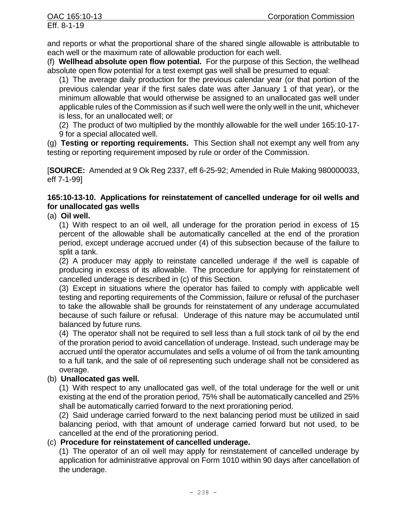and reports or what the proportional share of the shared single allowable is attributable to each well or the maximum rate of allowable production for each well.

(f) **Wellhead absolute open flow potential.** For the purpose of this Section, the wellhead absolute open flow potential for a test exempt gas well shall be presumed to equal:

(1) The average daily production for the previous calendar year (or that portion of the previous calendar year if the first sales date was after January 1 of that year), or the minimum allowable that would otherwise be assigned to an unallocated gas well under applicable rules of the Commission as if such well were the only well in the unit, whichever is less, for an unallocated well; or

(2) The product of two multiplied by the monthly allowable for the well under 165:10-17- 9 for a special allocated well.

(g) **Testing or reporting requirements.** This Section shall not exempt any well from any testing or reporting requirement imposed by rule or order of the Commission.

[**SOURCE:** Amended at 9 Ok Reg 2337, eff 6-25-92; Amended in Rule Making 980000033, eff 7-1-99]

### **165:10-13-10. Applications for reinstatement of cancelled underage for oil wells and for unallocated gas wells**

## (a) **Oil well.**

(1) With respect to an oil well, all underage for the proration period in excess of 15 percent of the allowable shall be automatically cancelled at the end of the proration period, except underage accrued under (4) of this subsection because of the failure to split a tank.

(2) A producer may apply to reinstate cancelled underage if the well is capable of producing in excess of its allowable. The procedure for applying for reinstatement of cancelled underage is described in (c) of this Section.

(3) Except in situations where the operator has failed to comply with applicable well testing and reporting requirements of the Commission, failure or refusal of the purchaser to take the allowable shall be grounds for reinstatement of any underage accumulated because of such failure or refusal. Underage of this nature may be accumulated until balanced by future runs.

(4) The operator shall not be required to sell less than a full stock tank of oil by the end of the proration period to avoid cancellation of underage. Instead, such underage may be accrued until the operator accumulates and sells a volume of oil from the tank amounting to a full tank, and the sale of oil representing such underage shall not be considered as overage.

#### (b) **Unallocated gas well.**

(1) With respect to any unallocated gas well, of the total underage for the well or unit existing at the end of the proration period, 75% shall be automatically cancelled and 25% shall be automatically carried forward to the next prorationing period.

(2) Said underage carried forward to the next balancing period must be utilized in said balancing period, with that amount of underage carried forward but not used, to be cancelled at the end of the prorationing period.

#### (c) **Procedure for reinstatement of cancelled underage.**

(1) The operator of an oil well may apply for reinstatement of cancelled underage by application for administrative approval on Form 1010 within 90 days after cancellation of the underage.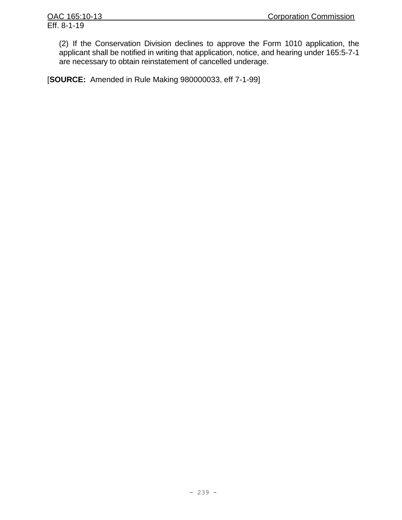(2) If the Conservation Division declines to approve the Form 1010 application, the applicant shall be notified in writing that application, notice, and hearing under 165:5-7-1 are necessary to obtain reinstatement of cancelled underage.

[**SOURCE:** Amended in Rule Making 980000033, eff 7-1-99]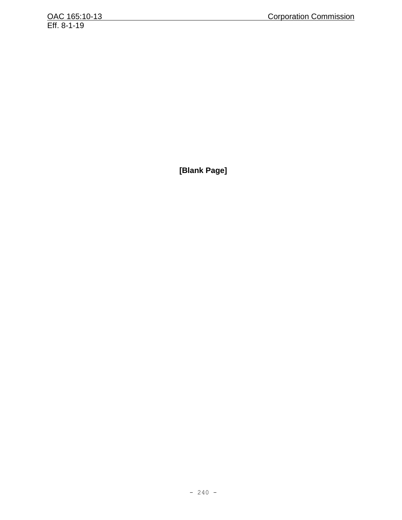**[Blank Page]**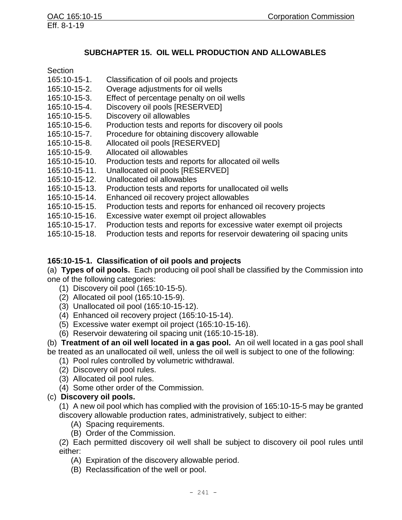## **SUBCHAPTER 15. OIL WELL PRODUCTION AND ALLOWABLES**

#### **Section**

- 165:10-15-1. Classification of oil pools and projects
- 165:10-15-2. Overage adjustments for oil wells
- 165:10-15-3. Effect of percentage penalty on oil wells
- 165:10-15-4. Discovery oil pools [RESERVED]
- 165:10-15-5. Discovery oil allowables
- 165:10-15-6. Production tests and reports for discovery oil pools
- 165:10-15-7. Procedure for obtaining discovery allowable
- 165:10-15-8. Allocated oil pools [RESERVED]
- 165:10-15-9. Allocated oil allowables
- 165:10-15-10. Production tests and reports for allocated oil wells
- 165:10-15-11. Unallocated oil pools [RESERVED]
- 165:10-15-12. Unallocated oil allowables
- Production tests and reports for unallocated oil wells
- 165:10-15-14. Enhanced oil recovery project allowables
- 165:10-15-15. Production tests and reports for enhanced oil recovery projects
- 165:10-15-16. Excessive water exempt oil project allowables
- 165:10-15-17. Production tests and reports for excessive water exempt oil projects
- 165:10-15-18. Production tests and reports for reservoir dewatering oil spacing units

## **165:10-15-1. Classification of oil pools and projects**

(a) **Types of oil pools.** Each producing oil pool shall be classified by the Commission into one of the following categories:

- (1) Discovery oil pool (165:10-15-5).
- (2) Allocated oil pool (165:10-15-9).
- (3) Unallocated oil pool (165:10-15-12).
- (4) Enhanced oil recovery project (165:10-15-14).
- (5) Excessive water exempt oil project (165:10-15-16).
- (6) Reservoir dewatering oil spacing unit (165:10-15-18).

(b) **Treatment of an oil well located in a gas pool.** An oil well located in a gas pool shall be treated as an unallocated oil well, unless the oil well is subject to one of the following:

- (1) Pool rules controlled by volumetric withdrawal.
- (2) Discovery oil pool rules.
- (3) Allocated oil pool rules.
- (4) Some other order of the Commission.

#### (c) **Discovery oil pools.**

(1) A new oil pool which has complied with the provision of 165:10-15-5 may be granted discovery allowable production rates, administratively, subject to either:

- (A) Spacing requirements.
- (B) Order of the Commission.

(2) Each permitted discovery oil well shall be subject to discovery oil pool rules until either:

- (A) Expiration of the discovery allowable period.
- (B) Reclassification of the well or pool.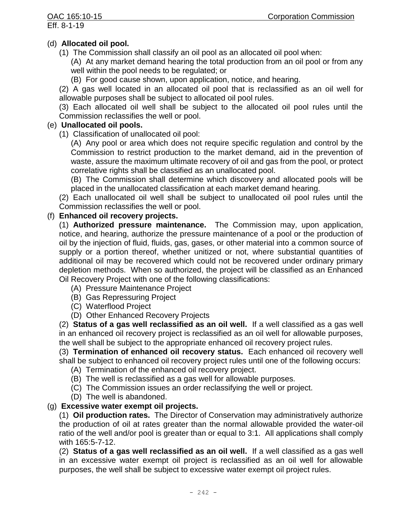## (d) **Allocated oil pool.**

(1) The Commission shall classify an oil pool as an allocated oil pool when:

(A) At any market demand hearing the total production from an oil pool or from any well within the pool needs to be regulated; or

(B) For good cause shown, upon application, notice, and hearing.

(2) A gas well located in an allocated oil pool that is reclassified as an oil well for allowable purposes shall be subject to allocated oil pool rules.

(3) Each allocated oil well shall be subject to the allocated oil pool rules until the Commission reclassifies the well or pool.

## (e) **Unallocated oil pools.**

(1) Classification of unallocated oil pool:

(A) Any pool or area which does not require specific regulation and control by the Commission to restrict production to the market demand, aid in the prevention of waste, assure the maximum ultimate recovery of oil and gas from the pool, or protect correlative rights shall be classified as an unallocated pool.

(B) The Commission shall determine which discovery and allocated pools will be placed in the unallocated classification at each market demand hearing.

(2) Each unallocated oil well shall be subject to unallocated oil pool rules until the Commission reclassifies the well or pool.

## (f) **Enhanced oil recovery projects.**

(1) **Authorized pressure maintenance.** The Commission may, upon application, notice, and hearing, authorize the pressure maintenance of a pool or the production of oil by the injection of fluid, fluids, gas, gases, or other material into a common source of supply or a portion thereof, whether unitized or not, where substantial quantities of additional oil may be recovered which could not be recovered under ordinary primary depletion methods. When so authorized, the project will be classified as an Enhanced Oil Recovery Project with one of the following classifications:

- (A) Pressure Maintenance Project
- (B) Gas Repressuring Project
- (C) Waterflood Project
- (D) Other Enhanced Recovery Projects

(2) **Status of a gas well reclassified as an oil well.** If a well classified as a gas well in an enhanced oil recovery project is reclassified as an oil well for allowable purposes, the well shall be subject to the appropriate enhanced oil recovery project rules.

(3) **Termination of enhanced oil recovery status.** Each enhanced oil recovery well shall be subject to enhanced oil recovery project rules until one of the following occurs:

- (A) Termination of the enhanced oil recovery project.
- (B) The well is reclassified as a gas well for allowable purposes.
- (C) The Commission issues an order reclassifying the well or project.
- (D) The well is abandoned.

## (g) **Excessive water exempt oil projects.**

(1) **Oil production rates.** The Director of Conservation may administratively authorize the production of oil at rates greater than the normal allowable provided the water-oil ratio of the well and/or pool is greater than or equal to 3:1. All applications shall comply with 165:5-7-12.

(2) **Status of a gas well reclassified as an oil well.** If a well classified as a gas well in an excessive water exempt oil project is reclassified as an oil well for allowable purposes, the well shall be subject to excessive water exempt oil project rules.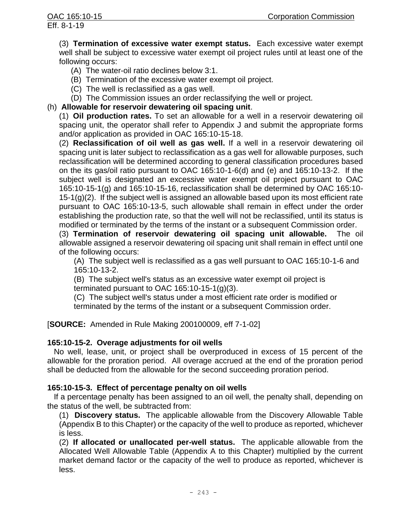(3) **Termination of excessive water exempt status.** Each excessive water exempt well shall be subject to excessive water exempt oil project rules until at least one of the following occurs:

- (A) The water-oil ratio declines below 3:1.
- (B) Termination of the excessive water exempt oil project.
- (C) The well is reclassified as a gas well.
- (D) The Commission issues an order reclassifying the well or project.

(h) **Allowable for reservoir dewatering oil spacing unit**.

(1) **Oil production rates.** To set an allowable for a well in a reservoir dewatering oil spacing unit, the operator shall refer to Appendix J and submit the appropriate forms and/or application as provided in OAC 165:10-15-18.

(2) **Reclassification of oil well as gas well.** If a well in a reservoir dewatering oil spacing unit is later subject to reclassification as a gas well for allowable purposes, such reclassification will be determined according to general classification procedures based on the its gas/oil ratio pursuant to OAC 165:10-1-6(d) and (e) and 165:10-13-2. If the subject well is designated an excessive water exempt oil project pursuant to OAC 165:10-15-1(g) and 165:10-15-16, reclassification shall be determined by OAC 165:10- 15-1(g)(2). If the subject well is assigned an allowable based upon its most efficient rate pursuant to OAC 165:10-13-5, such allowable shall remain in effect under the order establishing the production rate, so that the well will not be reclassified, until its status is modified or terminated by the terms of the instant or a subsequent Commission order.

(3) **Termination of reservoir dewatering oil spacing unit allowable.** The oil allowable assigned a reservoir dewatering oil spacing unit shall remain in effect until one of the following occurs:

(A) The subject well is reclassified as a gas well pursuant to OAC 165:10-1-6 and 165:10-13-2.

(B) The subject well's status as an excessive water exempt oil project is terminated pursuant to OAC 165:10-15-1(g)(3).

(C) The subject well's status under a most efficient rate order is modified or terminated by the terms of the instant or a subsequent Commission order.

[**SOURCE:** Amended in Rule Making 200100009, eff 7-1-02]

#### **165:10-15-2. Overage adjustments for oil wells**

 No well, lease, unit, or project shall be overproduced in excess of 15 percent of the allowable for the proration period. All overage accrued at the end of the proration period shall be deducted from the allowable for the second succeeding proration period.

#### **165:10-15-3. Effect of percentage penalty on oil wells**

 If a percentage penalty has been assigned to an oil well, the penalty shall, depending on the status of the well, be subtracted from:

(1) **Discovery status.** The applicable allowable from the Discovery Allowable Table (Appendix B to this Chapter) or the capacity of the well to produce as reported, whichever is less.

(2) **If allocated or unallocated per-well status.** The applicable allowable from the Allocated Well Allowable Table (Appendix A to this Chapter) multiplied by the current market demand factor or the capacity of the well to produce as reported, whichever is less.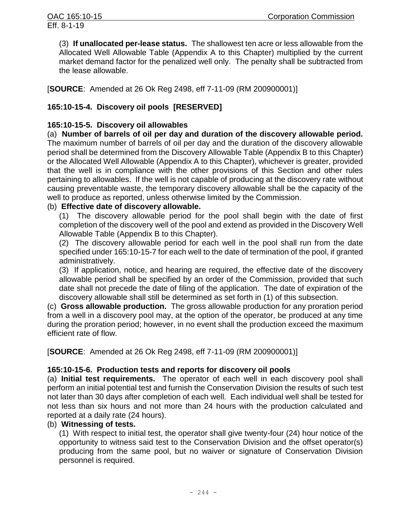(3) **If unallocated per-lease status.** The shallowest ten acre or less allowable from the Allocated Well Allowable Table (Appendix A to this Chapter) multiplied by the current market demand factor for the penalized well only. The penalty shall be subtracted from the lease allowable.

[**SOURCE**: Amended at 26 Ok Reg 2498, eff 7-11-09 (RM 200900001)]

## **165:10-15-4. Discovery oil pools [RESERVED]**

#### **165:10-15-5. Discovery oil allowables**

(a) **Number of barrels of oil per day and duration of the discovery allowable period.** The maximum number of barrels of oil per day and the duration of the discovery allowable period shall be determined from the Discovery Allowable Table (Appendix B to this Chapter) or the Allocated Well Allowable (Appendix A to this Chapter), whichever is greater, provided that the well is in compliance with the other provisions of this Section and other rules pertaining to allowables. If the well is not capable of producing at the discovery rate without causing preventable waste, the temporary discovery allowable shall be the capacity of the well to produce as reported, unless otherwise limited by the Commission.

#### (b) **Effective date of discovery allowable.**

(1) The discovery allowable period for the pool shall begin with the date of first completion of the discovery well of the pool and extend as provided in the Discovery Well Allowable Table (Appendix B to this Chapter).

(2) The discovery allowable period for each well in the pool shall run from the date specified under 165:10-15-7 for each well to the date of termination of the pool, if granted administratively.

(3) If application, notice, and hearing are required, the effective date of the discovery allowable period shall be specified by an order of the Commission, provided that such date shall not precede the date of filing of the application. The date of expiration of the discovery allowable shall still be determined as set forth in (1) of this subsection.

(c) **Gross allowable production.** The gross allowable production for any proration period from a well in a discovery pool may, at the option of the operator, be produced at any time during the proration period; however, in no event shall the production exceed the maximum efficient rate of flow.

[**SOURCE**: Amended at 26 Ok Reg 2498, eff 7-11-09 (RM 200900001)]

#### **165:10-15-6. Production tests and reports for discovery oil pools**

(a) **Initial test requirements.** The operator of each well in each discovery pool shall perform an initial potential test and furnish the Conservation Division the results of such test not later than 30 days after completion of each well. Each individual well shall be tested for not less than six hours and not more than 24 hours with the production calculated and reported at a daily rate (24 hours).

#### (b) **Witnessing of tests.**

(1) With respect to initial test, the operator shall give twenty-four (24) hour notice of the opportunity to witness said test to the Conservation Division and the offset operator(s) producing from the same pool, but no waiver or signature of Conservation Division personnel is required.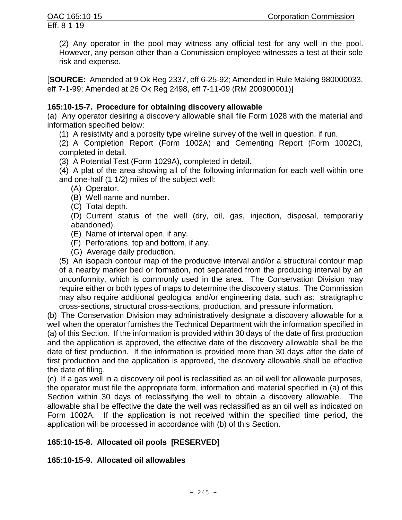(2) Any operator in the pool may witness any official test for any well in the pool. However, any person other than a Commission employee witnesses a test at their sole risk and expense.

[**SOURCE:** Amended at 9 Ok Reg 2337, eff 6-25-92; Amended in Rule Making 980000033, eff 7-1-99; Amended at 26 Ok Reg 2498, eff 7-11-09 (RM 200900001)]

### **165:10-15-7. Procedure for obtaining discovery allowable**

(a) Any operator desiring a discovery allowable shall file Form 1028 with the material and information specified below:

(1) A resistivity and a porosity type wireline survey of the well in question, if run.

(2) A Completion Report (Form 1002A) and Cementing Report (Form 1002C), completed in detail.

(3) A Potential Test (Form 1029A), completed in detail.

(4) A plat of the area showing all of the following information for each well within one and one-half (1 1/2) miles of the subject well:

(A) Operator.

(B) Well name and number.

(C) Total depth.

(D) Current status of the well (dry, oil, gas, injection, disposal, temporarily abandoned).

(E) Name of interval open, if any.

- (F) Perforations, top and bottom, if any.
- (G) Average daily production.

(5) An isopach contour map of the productive interval and/or a structural contour map of a nearby marker bed or formation, not separated from the producing interval by an unconformity, which is commonly used in the area. The Conservation Division may require either or both types of maps to determine the discovery status. The Commission may also require additional geological and/or engineering data, such as: stratigraphic cross-sections, structural cross-sections, production, and pressure information.

(b) The Conservation Division may administratively designate a discovery allowable for a well when the operator furnishes the Technical Department with the information specified in (a) of this Section. If the information is provided within 30 days of the date of first production and the application is approved, the effective date of the discovery allowable shall be the date of first production. If the information is provided more than 30 days after the date of first production and the application is approved, the discovery allowable shall be effective the date of filing.

(c) If a gas well in a discovery oil pool is reclassified as an oil well for allowable purposes, the operator must file the appropriate form, information and material specified in (a) of this Section within 30 days of reclassifying the well to obtain a discovery allowable. The allowable shall be effective the date the well was reclassified as an oil well as indicated on Form 1002A. If the application is not received within the specified time period, the application will be processed in accordance with (b) of this Section.

## **165:10-15-8. Allocated oil pools [RESERVED]**

#### **165:10-15-9. Allocated oil allowables**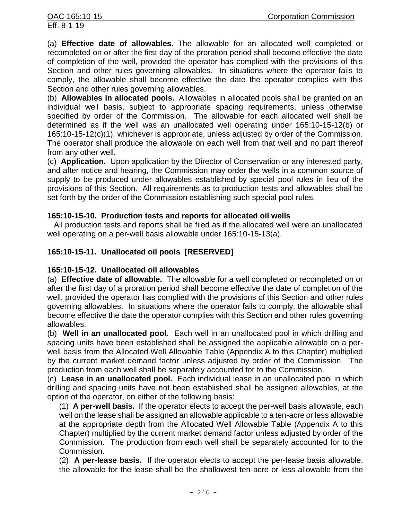(a) **Effective date of allowables.** The allowable for an allocated well completed or recompleted on or after the first day of the proration period shall become effective the date of completion of the well, provided the operator has complied with the provisions of this Section and other rules governing allowables. In situations where the operator fails to comply, the allowable shall become effective the date the operator complies with this Section and other rules governing allowables.

(b) **Allowables in allocated pools.** Allowables in allocated pools shall be granted on an individual well basis, subject to appropriate spacing requirements, unless otherwise specified by order of the Commission. The allowable for each allocated well shall be determined as if the well was an unallocated well operating under 165:10-15-12(b) or 165:10-15-12(c)(1), whichever is appropriate, unless adjusted by order of the Commission. The operator shall produce the allowable on each well from that well and no part thereof from any other well.

(c) **Application.** Upon application by the Director of Conservation or any interested party, and after notice and hearing, the Commission may order the wells in a common source of supply to be produced under allowables established by special pool rules in lieu of the provisions of this Section. All requirements as to production tests and allowables shall be set forth by the order of the Commission establishing such special pool rules.

### **165:10-15-10. Production tests and reports for allocated oil wells**

 All production tests and reports shall be filed as if the allocated well were an unallocated well operating on a per-well basis allowable under 165:10-15-13(a).

## **165:10-15-11. Unallocated oil pools [RESERVED]**

## **165:10-15-12. Unallocated oil allowables**

(a) **Effective date of allowable.** The allowable for a well completed or recompleted on or after the first day of a proration period shall become effective the date of completion of the well, provided the operator has complied with the provisions of this Section and other rules governing allowables. In situations where the operator fails to comply, the allowable shall become effective the date the operator complies with this Section and other rules governing allowables.

(b) **Well in an unallocated pool.** Each well in an unallocated pool in which drilling and spacing units have been established shall be assigned the applicable allowable on a perwell basis from the Allocated Well Allowable Table (Appendix A to this Chapter) multiplied by the current market demand factor unless adjusted by order of the Commission. The production from each well shall be separately accounted for to the Commission.

(c) **Lease in an unallocated pool.** Each individual lease in an unallocated pool in which drilling and spacing units have not been established shall be assigned allowables, at the option of the operator, on either of the following basis:

(1) **A per-well basis.** If the operator elects to accept the per-well basis allowable, each well on the lease shall be assigned an allowable applicable to a ten-acre or less allowable at the appropriate depth from the Allocated Well Allowable Table (Appendix A to this Chapter) multiplied by the current market demand factor unless adjusted by order of the Commission. The production from each well shall be separately accounted for to the Commission.

(2) **A per-lease basis.** If the operator elects to accept the per-lease basis allowable, the allowable for the lease shall be the shallowest ten-acre or less allowable from the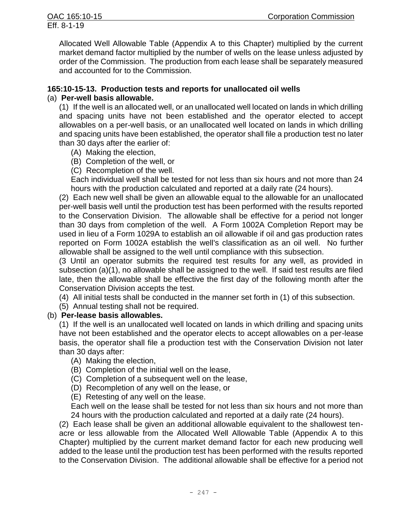Allocated Well Allowable Table (Appendix A to this Chapter) multiplied by the current market demand factor multiplied by the number of wells on the lease unless adjusted by order of the Commission. The production from each lease shall be separately measured and accounted for to the Commission.

## **165:10-15-13. Production tests and reports for unallocated oil wells**

### (a) **Per-well basis allowable.**

(1) If the well is an allocated well, or an unallocated well located on lands in which drilling and spacing units have not been established and the operator elected to accept allowables on a per-well basis, or an unallocated well located on lands in which drilling and spacing units have been established, the operator shall file a production test no later than 30 days after the earlier of:

- (A) Making the election,
- (B) Completion of the well, or
- (C) Recompletion of the well.

Each individual well shall be tested for not less than six hours and not more than 24 hours with the production calculated and reported at a daily rate (24 hours).

(2) Each new well shall be given an allowable equal to the allowable for an unallocated per-well basis well until the production test has been performed with the results reported to the Conservation Division. The allowable shall be effective for a period not longer than 30 days from completion of the well. A Form 1002A Completion Report may be used in lieu of a Form 1029A to establish an oil allowable if oil and gas production rates reported on Form 1002A establish the well's classification as an oil well. No further allowable shall be assigned to the well until compliance with this subsection.

(3 Until an operator submits the required test results for any well, as provided in subsection (a)(1), no allowable shall be assigned to the well. If said test results are filed late, then the allowable shall be effective the first day of the following month after the Conservation Division accepts the test.

(4) All initial tests shall be conducted in the manner set forth in (1) of this subsection.

(5) Annual testing shall not be required.

#### (b) **Per-lease basis allowables.**

(1) If the well is an unallocated well located on lands in which drilling and spacing units have not been established and the operator elects to accept allowables on a per-lease basis, the operator shall file a production test with the Conservation Division not later than 30 days after:

- (A) Making the election,
- (B) Completion of the initial well on the lease,
- (C) Completion of a subsequent well on the lease,
- (D) Recompletion of any well on the lease, or
- (E) Retesting of any well on the lease.

Each well on the lease shall be tested for not less than six hours and not more than 24 hours with the production calculated and reported at a daily rate (24 hours).

(2) Each lease shall be given an additional allowable equivalent to the shallowest tenacre or less allowable from the Allocated Well Allowable Table (Appendix A to this Chapter) multiplied by the current market demand factor for each new producing well added to the lease until the production test has been performed with the results reported to the Conservation Division. The additional allowable shall be effective for a period not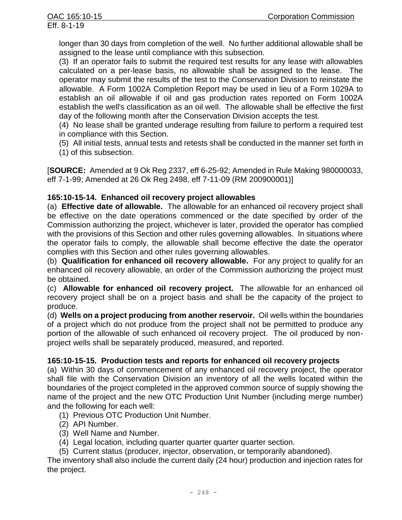longer than 30 days from completion of the well. No further additional allowable shall be assigned to the lease until compliance with this subsection.

(3) If an operator fails to submit the required test results for any lease with allowables calculated on a per-lease basis, no allowable shall be assigned to the lease. The operator may submit the results of the test to the Conservation Division to reinstate the allowable. A Form 1002A Completion Report may be used in lieu of a Form 1029A to establish an oil allowable if oil and gas production rates reported on Form 1002A establish the well's classification as an oil well. The allowable shall be effective the first day of the following month after the Conservation Division accepts the test.

(4) No lease shall be granted underage resulting from failure to perform a required test in compliance with this Section.

(5) All initial tests, annual tests and retests shall be conducted in the manner set forth in

(1) of this subsection.

[**SOURCE:** Amended at 9 Ok Reg 2337, eff 6-25-92; Amended in Rule Making 980000033, eff 7-1-99; Amended at 26 Ok Reg 2498, eff 7-11-09 (RM 200900001)]

### **165:10-15-14. Enhanced oil recovery project allowables**

(a) **Effective date of allowable.** The allowable for an enhanced oil recovery project shall be effective on the date operations commenced or the date specified by order of the Commission authorizing the project, whichever is later, provided the operator has complied with the provisions of this Section and other rules governing allowables. In situations where the operator fails to comply, the allowable shall become effective the date the operator complies with this Section and other rules governing allowables.

(b) **Qualification for enhanced oil recovery allowable.** For any project to qualify for an enhanced oil recovery allowable, an order of the Commission authorizing the project must be obtained.

(c) **Allowable for enhanced oil recovery project.** The allowable for an enhanced oil recovery project shall be on a project basis and shall be the capacity of the project to produce.

(d) **Wells on a project producing from another reservoir.** Oil wells within the boundaries of a project which do not produce from the project shall not be permitted to produce any portion of the allowable of such enhanced oil recovery project. The oil produced by nonproject wells shall be separately produced, measured, and reported.

#### **165:10-15-15. Production tests and reports for enhanced oil recovery projects**

(a) Within 30 days of commencement of any enhanced oil recovery project, the operator shall file with the Conservation Division an inventory of all the wells located within the boundaries of the project completed in the approved common source of supply showing the name of the project and the new OTC Production Unit Number (including merge number) and the following for each well:

- (1) Previous OTC Production Unit Number.
- (2) API Number.
- (3) Well Name and Number.
- (4) Legal location, including quarter quarter quarter quarter section.
- (5) Current status (producer, injector, observation, or temporarily abandoned).

The inventory shall also include the current daily (24 hour) production and injection rates for the project.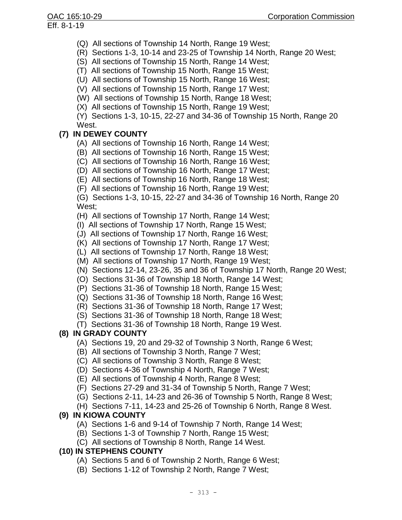- (Q) All sections of Township 14 North, Range 19 West;
- (R) Sections 1-3, 10-14 and 23-25 of Township 14 North, Range 20 West;
- (S) All sections of Township 15 North, Range 14 West;
- (T) All sections of Township 15 North, Range 15 West;
- (U) All sections of Township 15 North, Range 16 West;
- (V) All sections of Township 15 North, Range 17 West;
- (W) All sections of Township 15 North, Range 18 West;
- (X) All sections of Township 15 North, Range 19 West;

(Y) Sections 1-3, 10-15, 22-27 and 34-36 of Township 15 North, Range 20 West.

## **(7) IN DEWEY COUNTY**

- (A) All sections of Township 16 North, Range 14 West;
- (B) All sections of Township 16 North, Range 15 West;
- (C) All sections of Township 16 North, Range 16 West;
- (D) All sections of Township 16 North, Range 17 West;
- (E) All sections of Township 16 North, Range 18 West;
- (F) All sections of Township 16 North, Range 19 West;

(G) Sections 1-3, 10-15, 22-27 and 34-36 of Township 16 North, Range 20 West;

- (H) All sections of Township 17 North, Range 14 West;
- (I) All sections of Township 17 North, Range 15 West;
- (J) All sections of Township 17 North, Range 16 West;
- (K) All sections of Township 17 North, Range 17 West;
- (L) All sections of Township 17 North, Range 18 West;
- (M) All sections of Township 17 North, Range 19 West;
- (N) Sections 12-14, 23-26, 35 and 36 of Township 17 North, Range 20 West;
- (O) Sections 31-36 of Township 18 North, Range 14 West;
- (P) Sections 31-36 of Township 18 North, Range 15 West;
- (Q) Sections 31-36 of Township 18 North, Range 16 West;
- (R) Sections 31-36 of Township 18 North, Range 17 West;
- (S) Sections 31-36 of Township 18 North, Range 18 West;
- (T) Sections 31-36 of Township 18 North, Range 19 West.

## **(8) IN GRADY COUNTY**

- (A) Sections 19, 20 and 29-32 of Township 3 North, Range 6 West;
- (B) All sections of Township 3 North, Range 7 West;
- (C) All sections of Township 3 North, Range 8 West;
- (D) Sections 4-36 of Township 4 North, Range 7 West;
- (E) All sections of Township 4 North, Range 8 West;
- (F) Sections 27-29 and 31-34 of Township 5 North, Range 7 West;
- (G) Sections 2-11, 14-23 and 26-36 of Township 5 North, Range 8 West;
- (H) Sections 7-11, 14-23 and 25-26 of Township 6 North, Range 8 West.

## **(9) IN KIOWA COUNTY**

- (A) Sections 1-6 and 9-14 of Township 7 North, Range 14 West;
- (B) Sections 1-3 of Township 7 North, Range 15 West;
- (C) All sections of Township 8 North, Range 14 West.

## **(10) IN STEPHENS COUNTY**

- (A) Sections 5 and 6 of Township 2 North, Range 6 West;
- (B) Sections 1-12 of Township 2 North, Range 7 West;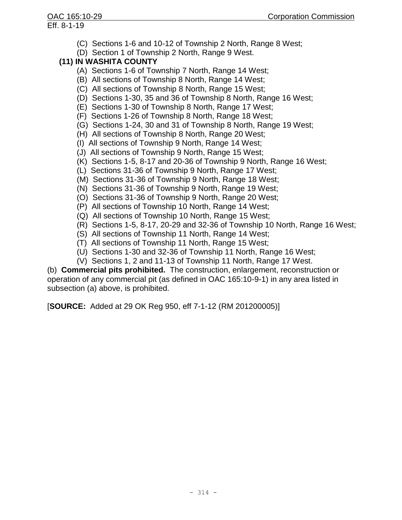- (C) Sections 1-6 and 10-12 of Township 2 North, Range 8 West;
- (D) Section 1 of Township 2 North, Range 9 West.

## **(11) IN WASHITA COUNTY**

- (A) Sections 1-6 of Township 7 North, Range 14 West;
- (B) All sections of Township 8 North, Range 14 West;
- (C) All sections of Township 8 North, Range 15 West;
- (D) Sections 1-30, 35 and 36 of Township 8 North, Range 16 West;
- (E) Sections 1-30 of Township 8 North, Range 17 West;
- (F) Sections 1-26 of Township 8 North, Range 18 West;
- (G) Sections 1-24, 30 and 31 of Township 8 North, Range 19 West;
- (H) All sections of Township 8 North, Range 20 West;
- (I) All sections of Township 9 North, Range 14 West;
- (J) All sections of Township 9 North, Range 15 West;
- (K) Sections 1-5, 8-17 and 20-36 of Township 9 North, Range 16 West;
- (L) Sections 31-36 of Township 9 North, Range 17 West;
- (M) Sections 31-36 of Township 9 North, Range 18 West;
- (N) Sections 31-36 of Township 9 North, Range 19 West;
- (O) Sections 31-36 of Township 9 North, Range 20 West;
- (P) All sections of Township 10 North, Range 14 West;
- (Q) All sections of Township 10 North, Range 15 West;
- (R) Sections 1-5, 8-17, 20-29 and 32-36 of Township 10 North, Range 16 West;
- (S) All sections of Township 11 North, Range 14 West;
- (T) All sections of Township 11 North, Range 15 West;
- (U) Sections 1-30 and 32-36 of Township 11 North, Range 16 West;
- (V) Sections 1, 2 and 11-13 of Township 11 North, Range 17 West.

(b) **Commercial pits prohibited.** The construction, enlargement, reconstruction or operation of any commercial pit (as defined in OAC 165:10-9-1) in any area listed in subsection (a) above, is prohibited.

[**SOURCE:** Added at 29 OK Reg 950, eff 7-1-12 (RM 201200005)]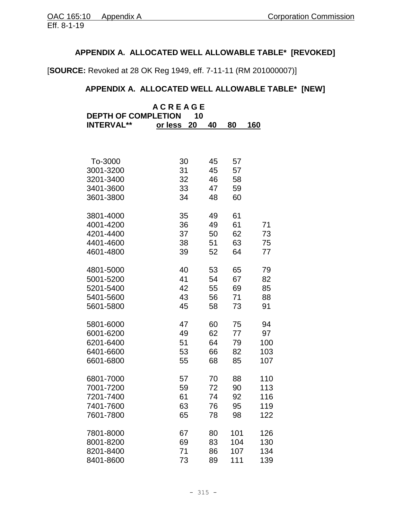## **APPENDIX A. ALLOCATED WELL ALLOWABLE TABLE\* [REVOKED]**

[**SOURCE:** Revoked at 28 OK Reg 1949, eff. 7-11-11 (RM 201000007)]

## **APPENDIX A. ALLOCATED WELL ALLOWABLE TABLE\* [NEW]**

| <b>ACREAGE</b><br><b>DEPTH OF COMPLETION</b><br>10 |               |    |     |            |
|----------------------------------------------------|---------------|----|-----|------------|
| <b>INTERVAL**</b>                                  | or less<br>20 | 40 | 80  | <u>160</u> |
|                                                    |               |    |     |            |
|                                                    |               |    |     |            |
| To-3000                                            | 30            | 45 | 57  |            |
| 3001-3200                                          | 31            | 45 | 57  |            |
| 3201-3400                                          | 32            | 46 | 58  |            |
| 3401-3600                                          | 33            | 47 | 59  |            |
| 3601-3800                                          | 34            | 48 | 60  |            |
| 3801-4000                                          | 35            | 49 | 61  |            |
| 4001-4200                                          | 36            | 49 | 61  | 71         |
| 4201-4400                                          | 37            | 50 | 62  | 73         |
| 4401-4600                                          | 38            | 51 | 63  | 75         |
| 4601-4800                                          | 39            | 52 | 64  | 77         |
| 4801-5000                                          | 40            | 53 | 65  | 79         |
| 5001-5200                                          | 41            | 54 | 67  | 82         |
| 5201-5400                                          | 42            | 55 | 69  | 85         |
| 5401-5600                                          | 43            | 56 | 71  | 88         |
| 5601-5800                                          | 45            | 58 | 73  | 91         |
| 5801-6000                                          | 47            | 60 | 75  | 94         |
| 6001-6200                                          | 49            | 62 | 77  | 97         |
| 6201-6400                                          | 51            | 64 | 79  | 100        |
| 6401-6600                                          | 53            | 66 | 82  | 103        |
| 6601-6800                                          | 55            | 68 | 85  | 107        |
| 6801-7000                                          | 57            | 70 | 88  | 110        |
| 7001-7200                                          | 59            | 72 | 90  | 113        |
| 7201-7400                                          | 61            | 74 | 92  | 116        |
| 7401-7600                                          | 63            | 76 | 95  | 119        |
| 7601-7800                                          | 65            | 78 | 98  | 122        |
| 7801-8000                                          | 67            | 80 | 101 | 126        |
| 8001-8200                                          | 69            | 83 | 104 | 130        |
| 8201-8400                                          | 71            | 86 | 107 | 134        |
| 8401-8600                                          | 73            | 89 | 111 | 139        |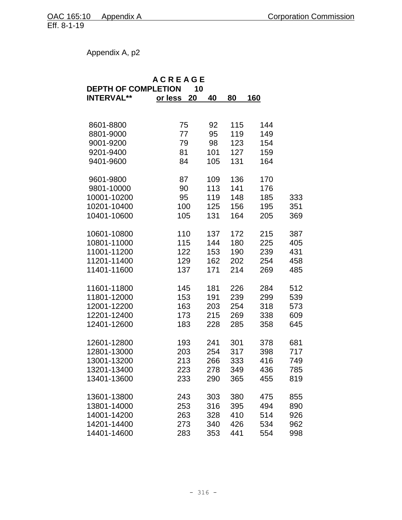# Appendix A, p2

| <b>ACREAGE</b>                                        |               |     |     |            |     |
|-------------------------------------------------------|---------------|-----|-----|------------|-----|
| <b>DEPTH OF COMPLETION</b><br>10<br><b>INTERVAL**</b> |               |     |     |            |     |
|                                                       | or less<br>20 | 40  | 80  | <u>160</u> |     |
|                                                       |               |     |     |            |     |
| 8601-8800                                             | 75            | 92  | 115 | 144        |     |
| 8801-9000                                             | 77            | 95  | 119 | 149        |     |
| 9001-9200                                             | 79            | 98  | 123 | 154        |     |
| 9201-9400                                             | 81            | 101 | 127 | 159        |     |
| 9401-9600                                             | 84            | 105 | 131 | 164        |     |
| 9601-9800                                             | 87            | 109 | 136 | 170        |     |
| 9801-10000                                            | 90            | 113 | 141 | 176        |     |
| 10001-10200                                           | 95            | 119 | 148 | 185        | 333 |
| 10201-10400                                           | 100           | 125 | 156 | 195        | 351 |
| 10401-10600                                           | 105           | 131 | 164 | 205        | 369 |
| 10601-10800                                           | 110           | 137 | 172 | 215        | 387 |
| 10801-11000                                           | 115           | 144 | 180 | 225        | 405 |
| 11001-11200                                           | 122           | 153 | 190 | 239        | 431 |
| 11201-11400                                           | 129           | 162 | 202 | 254        | 458 |
| 11401-11600                                           | 137           | 171 | 214 | 269        | 485 |
| 11601-11800                                           | 145           | 181 | 226 | 284        | 512 |
| 11801-12000                                           | 153           | 191 | 239 | 299        | 539 |
| 12001-12200                                           | 163           | 203 | 254 | 318        | 573 |
| 12201-12400                                           | 173           | 215 | 269 | 338        | 609 |
| 12401-12600                                           | 183           | 228 | 285 | 358        | 645 |
| 12601-12800                                           | 193           | 241 | 301 | 378        | 681 |
| 12801-13000                                           | 203           | 254 | 317 | 398        | 717 |
| 13001-13200                                           | 213           | 266 | 333 | 416        | 749 |
| 13201-13400                                           | 223           | 278 | 349 | 436        | 785 |
| 13401-13600                                           | 233           | 290 | 365 | 455        | 819 |
| 13601-13800                                           | 243           | 303 | 380 | 475        | 855 |
| 13801-14000                                           | 253           | 316 | 395 | 494        | 890 |
| 14001-14200                                           | 263           | 328 | 410 | 514        | 926 |
| 14201-14400                                           | 273           | 340 | 426 | 534        | 962 |
| 14401-14600                                           | 283           | 353 | 441 | 554        | 998 |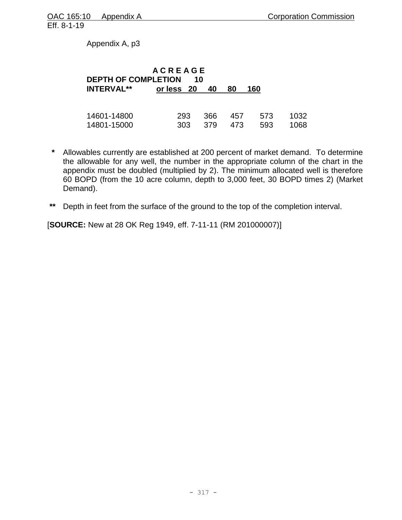Appendix A, p3

| <b>ACREAGE</b><br><b>DEPTH OF COMPLETION</b><br>10<br><b>INTERVAL**</b><br>or less 20<br>40<br>80<br>160 |     |     |     |     |      |
|----------------------------------------------------------------------------------------------------------|-----|-----|-----|-----|------|
| 14601-14800                                                                                              | 293 | 366 | 457 | 573 | 1032 |
| 14801-15000                                                                                              | 303 | 379 | 473 | 593 | 1068 |

- **\*** Allowables currently are established at 200 percent of market demand. To determine the allowable for any well, the number in the appropriate column of the chart in the appendix must be doubled (multiplied by 2). The minimum allocated well is therefore 60 BOPD (from the 10 acre column, depth to 3,000 feet, 30 BOPD times 2) (Market Demand).
- **\*\*** Depth in feet from the surface of the ground to the top of the completion interval.

[**SOURCE:** New at 28 OK Reg 1949, eff. 7-11-11 (RM 201000007)]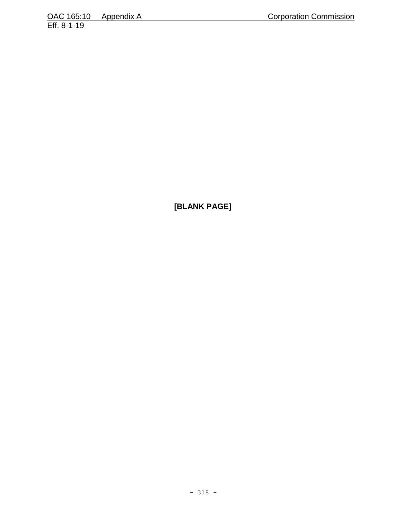**[BLANK PAGE]**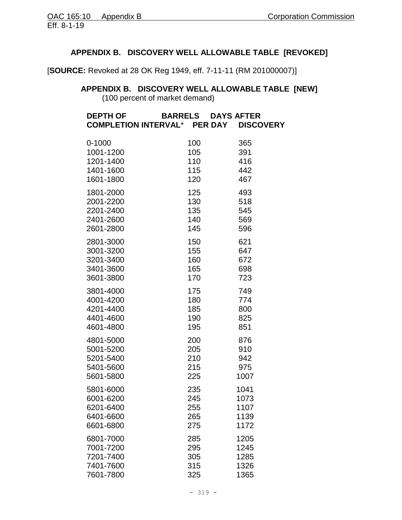## **APPENDIX B. DISCOVERY WELL ALLOWABLE TABLE [REVOKED]**

[**SOURCE:** Revoked at 28 OK Reg 1949, eff. 7-11-11 (RM 201000007)]

**APPENDIX B. DISCOVERY WELL ALLOWABLE TABLE [NEW]**

(100 percent of market demand)

| <b>DEPTH OF</b><br>COMPLETION INTERVAL* PER DAY | <b>BARRELS</b> | <b>DAYS AFTER</b><br><b>DISCOVERY</b> |
|-------------------------------------------------|----------------|---------------------------------------|
| 0-1000                                          | 100            | 365                                   |
| 1001-1200                                       | 105            | 391                                   |
| 1201-1400                                       | 110            | 416                                   |
| 1401-1600                                       | 115            | 442                                   |
| 1601-1800                                       | 120            | 467                                   |
| 1801-2000                                       | 125            | 493                                   |
| 2001-2200                                       | 130            | 518                                   |
| 2201-2400                                       | 135            | 545                                   |
| 2401-2600                                       | 140            | 569                                   |
| 2601-2800                                       | 145            | 596                                   |
| 2801-3000                                       | 150            | 621                                   |
| 3001-3200                                       | 155            | 647                                   |
| 3201-3400                                       | 160            | 672                                   |
| 3401-3600                                       | 165            | 698                                   |
| 3601-3800                                       | 170            | 723                                   |
| 3801-4000                                       | 175            | 749                                   |
| 4001-4200                                       | 180            | 774                                   |
| 4201-4400                                       | 185            | 800                                   |
| 4401-4600                                       | 190            | 825                                   |
| 4601-4800                                       | 195            | 851                                   |
| 4801-5000                                       | 200            | 876                                   |
| 5001-5200                                       | 205            | 910                                   |
| 5201-5400                                       | 210            | 942                                   |
| 5401-5600                                       | 215            | 975                                   |
| 5601-5800                                       | 225            | 1007                                  |
| 5801-6000                                       | 235            | 1041                                  |
| 6001-6200                                       | 245            | 1073                                  |
| 6201-6400                                       | 255            | 1107                                  |
| 6401-6600                                       | 265            | 1139                                  |
| 6601-6800                                       | 275            | 1172                                  |
| 6801-7000                                       | 285            | 1205                                  |
| 7001-7200                                       | 295            | 1245                                  |
| 7201-7400                                       | 305            | 1285                                  |
| 7401-7600                                       | 315            | 1326                                  |
| 7601-7800                                       | 325            | 1365                                  |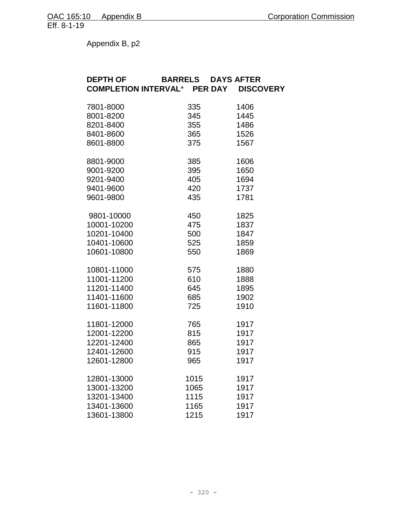Appendix B, p2

| <b>DEPTH OF</b><br><b>COMPLETION INTERVAL* PER DAY</b> | <b>BARRELS</b> | <b>DAYS AFTER</b><br><b>DISCOVERY</b> |
|--------------------------------------------------------|----------------|---------------------------------------|
| 7801-8000                                              | 335            | 1406                                  |
| 8001-8200                                              | 345            | 1445                                  |
| 8201-8400                                              | 355            | 1486                                  |
| 8401-8600                                              | 365            | 1526                                  |
| 8601-8800                                              | 375            | 1567                                  |
| 8801-9000                                              | 385            | 1606                                  |
| 9001-9200                                              | 395            | 1650                                  |
| 9201-9400                                              | 405            | 1694                                  |
| 9401-9600                                              | 420            | 1737                                  |
| 9601-9800                                              | 435            | 1781                                  |
| 9801-10000                                             | 450            | 1825                                  |
| 10001-10200                                            | 475            | 1837                                  |
| 10201-10400                                            | 500            | 1847                                  |
| 10401-10600                                            | 525            | 1859                                  |
| 10601-10800                                            | 550            | 1869                                  |
| 10801-11000                                            | 575            | 1880                                  |
| 11001-11200                                            | 610            | 1888                                  |
| 11201-11400                                            | 645            | 1895                                  |
| 11401-11600                                            | 685            | 1902                                  |
| 11601-11800                                            | 725            | 1910                                  |
| 11801-12000                                            | 765            | 1917                                  |
| 12001-12200                                            | 815            | 1917                                  |
| 12201-12400                                            | 865            | 1917                                  |
| 12401-12600                                            | 915            | 1917                                  |
| 12601-12800                                            | 965            | 1917                                  |
| 12801-13000                                            | 1015           | 1917                                  |
| 13001-13200                                            | 1065           | 1917                                  |
| 13201-13400                                            | 1115           | 1917                                  |
| 13401-13600                                            | 1165           | 1917                                  |
| 13601-13800                                            | 1215           | 1917                                  |